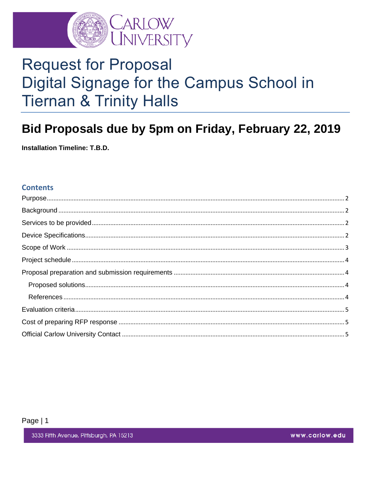

# **Request for Proposal** Digital Signage for the Campus School in **Tiernan & Trinity Halls**

# Bid Proposals due by 5pm on Friday, February 22, 2019

**Installation Timeline: T.B.D.** 

#### **Contents**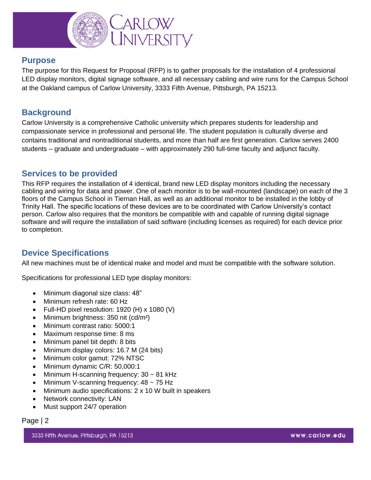

#### <span id="page-1-0"></span>**Purpose**

The purpose for this Request for Proposal (RFP) is to gather proposals for the installation of 4 professional LED display monitors, digital signage software, and all necessary cabling and wire runs for the Campus School at the Oakland campus of Carlow University, 3333 Fifth Avenue, Pittsburgh, PA 15213.

# <span id="page-1-1"></span>**Background**

Carlow University is a comprehensive Catholic university which prepares students for leadership and compassionate service in professional and personal life. The student population is culturally diverse and contains traditional and nontraditional students, and more than half are first generation. Carlow serves 2400 students – graduate and undergraduate – with approximately 290 full-time faculty and adjunct faculty.

#### <span id="page-1-2"></span>**Services to be provided**

This RFP requires the installation of 4 identical, brand new LED display monitors including the necessary cabling and wiring for data and power. One of each monitor is to be wall-mounted (landscape) on each of the 3 floors of the Campus School in Tiernan Hall, as well as an additional monitor to be installed in the lobby of Trinity Hall. The specific locations of these devices are to be coordinated with Carlow University's contact person. Carlow also requires that the monitors be compatible with and capable of running digital signage software and will require the installation of said software (including licenses as required) for each device prior to completion.

# <span id="page-1-3"></span>**Device Specifications**

All new machines must be of identical make and model and must be compatible with the software solution.

Specifications for professional LED type display monitors:

- Minimum diagonal size class: 48"
- Minimum refresh rate: 60 Hz
- Full-HD pixel resolution: 1920 (H) x 1080 (V)
- Minimum brightness: 350 nit (cd/m²)
- Minimum contrast ratio: 5000:1
- Maximum response time: 8 ms
- Minimum panel bit depth: 8 bits
- Minimum display colors: 16.7 M (24 bits)
- Minimum color gamut: 72% NTSC
- Minimum dynamic C/R: 50,000:1
- Minimum H-scanning frequency: 30 ~ 81 kHz
- Minimum V-scanning frequency: 48 ~ 75 Hz
- Minimum audio specifications: 2 x 10 W built in speakers
- Network connectivity: LAN
- Must support 24/7 operation

#### Page | 2

3333 Fifth Avenue, Pittsburgh, PA 15213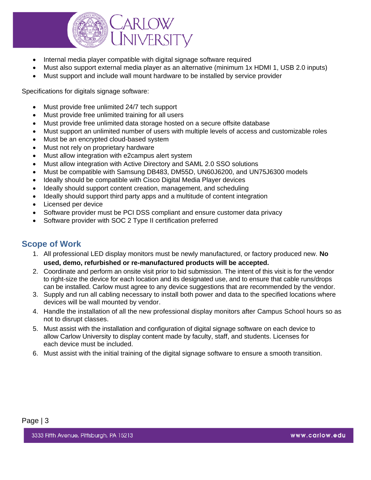

- Internal media player compatible with digital signage software required
- Must also support external media player as an alternative (minimum 1x HDMI 1, USB 2.0 inputs)
- Must support and include wall mount hardware to be installed by service provider

Specifications for digitals signage software:

- Must provide free unlimited 24/7 tech support
- Must provide free unlimited training for all users
- Must provide free unlimited data storage hosted on a secure offsite database
- Must support an unlimited number of users with multiple levels of access and customizable roles
- Must be an encrypted cloud-based system
- Must not rely on proprietary hardware
- Must allow integration with e2campus alert system
- Must allow integration with Active Directory and SAML 2.0 SSO solutions
- Must be compatible with Samsung DB483, DM55D, UN60J6200, and UN75J6300 models
- Ideally should be compatible with Cisco Digital Media Player devices
- Ideally should support content creation, management, and scheduling
- Ideally should support third party apps and a multitude of content integration
- Licensed per device
- Software provider must be PCI DSS compliant and ensure customer data privacy
- Software provider with SOC 2 Type II certification preferred

#### <span id="page-2-0"></span>**Scope of Work**

- 1. All professional LED display monitors must be newly manufactured, or factory produced new. **No used, demo, refurbished or re-manufactured products will be accepted.**
- 2. Coordinate and perform an onsite visit prior to bid submission. The intent of this visit is for the vendor to right-size the device for each location and its designated use, and to ensure that cable runs/drops can be installed. Carlow must agree to any device suggestions that are recommended by the vendor.
- 3. Supply and run all cabling necessary to install both power and data to the specified locations where devices will be wall mounted by vendor.
- 4. Handle the installation of all the new professional display monitors after Campus School hours so as not to disrupt classes.
- 5. Must assist with the installation and configuration of digital signage software on each device to allow Carlow University to display content made by faculty, staff, and students. Licenses for each device must be included.
- 6. Must assist with the initial training of the digital signage software to ensure a smooth transition.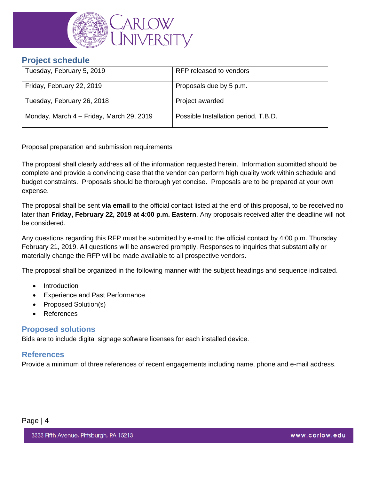

#### <span id="page-3-0"></span>**Project schedule**

| Tuesday, February 5, 2019                | RFP released to vendors              |
|------------------------------------------|--------------------------------------|
| Friday, February 22, 2019                | Proposals due by 5 p.m.              |
| Tuesday, February 26, 2018               | Project awarded                      |
| Monday, March 4 – Friday, March 29, 2019 | Possible Installation period, T.B.D. |

<span id="page-3-1"></span>Proposal preparation and submission requirements

The proposal shall clearly address all of the information requested herein. Information submitted should be complete and provide a convincing case that the vendor can perform high quality work within schedule and budget constraints. Proposals should be thorough yet concise. Proposals are to be prepared at your own expense.

The proposal shall be sent **via email** to the official contact listed at the end of this proposal, to be received no later than **Friday, February 22, 2019 at 4:00 p.m. Eastern**. Any proposals received after the deadline will not be considered.

Any questions regarding this RFP must be submitted by e-mail to the official contact by 4:00 p.m. Thursday February 21, 2019. All questions will be answered promptly. Responses to inquiries that substantially or materially change the RFP will be made available to all prospective vendors.

The proposal shall be organized in the following manner with the subject headings and sequence indicated.

- Introduction
- Experience and Past Performance
- Proposed Solution(s)
- References

#### <span id="page-3-2"></span>**Proposed solutions**

Bids are to include digital signage software licenses for each installed device.

#### <span id="page-3-3"></span>**References**

Provide a minimum of three references of recent engagements including name, phone and e-mail address.